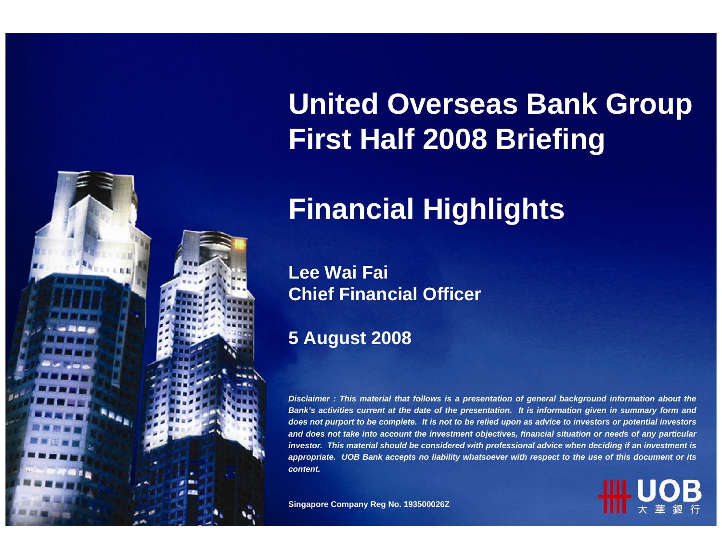

# **United Overseas Bank Group First Half 2008 Briefing**

# **Financial Highlights**

**Lee Wai Fai Chief Financial Officer** 

#### **5 August 2008**

*Disclaimer : This material that follows is a presentation of general background information about the Bank's activities current at the date of the presentation. It is information given in summary form and does not purport to be complete. It is not to be relied upon as advice to investors or potential investors and does not take into account the investment objectives, financial situation or needs of any particular investor. This material should be considered with professional advice when deciding if an investment is appropriate. UOB Bank accepts no liability whatsoever with respect to the use of this document or its content.*

**Singapore Company Reg No. 193500026Z**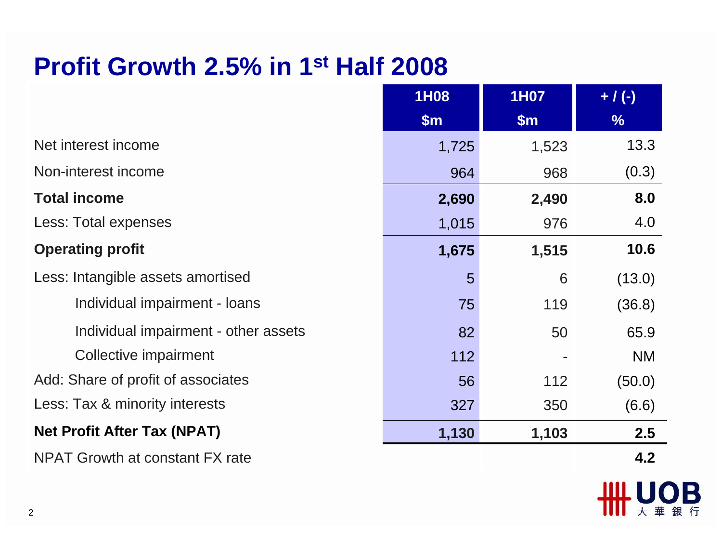#### **Profit Growth 2.5% in 1st Half 2008**

|                                        | 1H08  | <b>1H07</b> | $+ / (-)$     |
|----------------------------------------|-------|-------------|---------------|
|                                        | \$m\$ | \$m\$       | $\frac{9}{6}$ |
| Net interest income                    | 1,725 | 1,523       | 13.3          |
| Non-interest income                    | 964   | 968         | (0.3)         |
| <b>Total income</b>                    | 2,690 | 2,490       | 8.0           |
| Less: Total expenses                   | 1,015 | 976         | 4.0           |
| <b>Operating profit</b>                | 1,675 | 1,515       | 10.6          |
| Less: Intangible assets amortised      | 5     | 6           | (13.0)        |
| Individual impairment - loans          | 75    | 119         | (36.8)        |
| Individual impairment - other assets   | 82    | 50          | 65.9          |
| Collective impairment                  | 112   |             | <b>NM</b>     |
| Add: Share of profit of associates     | 56    | 112         | (50.0)        |
| Less: Tax & minority interests         | 327   | 350         | (6.6)         |
| <b>Net Profit After Tax (NPAT)</b>     | 1,130 | 1,103       | 2.5           |
| <b>NPAT Growth at constant FX rate</b> |       |             | 4.2           |

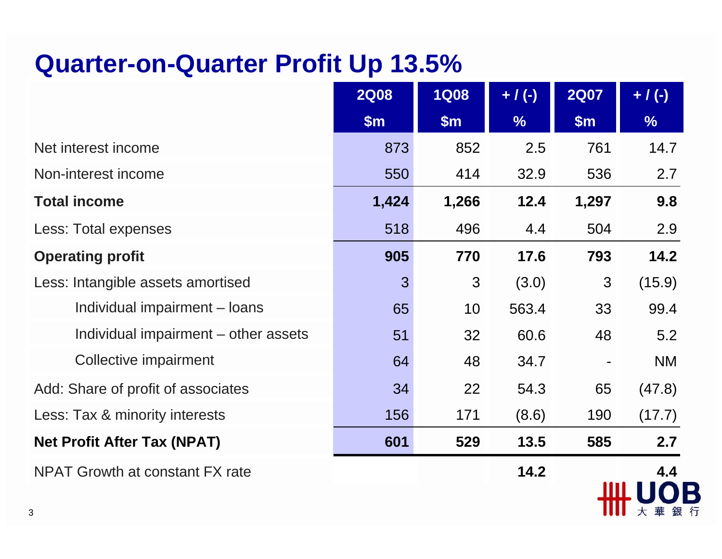#### **Quarter-on-Quarter Profit Up 13.5%**

|                                      | <b>2Q08</b> | <b>1Q08</b> | $+ / (-)$     | <b>2Q07</b>    | $+ / (-)$     |
|--------------------------------------|-------------|-------------|---------------|----------------|---------------|
|                                      | \$m\$       | \$m\$       | $\frac{0}{6}$ | \$m\$          | $\frac{1}{2}$ |
| Net interest income                  | 873         | 852         | 2.5           | 761            | 14.7          |
| Non-interest income                  | 550         | 414         | 32.9          | 536            | 2.7           |
| <b>Total income</b>                  | 1,424       | 1,266       | 12.4          | 1,297          | 9.8           |
| Less: Total expenses                 | 518         | 496         | 4.4           | 504            | 2.9           |
| <b>Operating profit</b>              | 905         | 770         | 17.6          | 793            | 14.2          |
| Less: Intangible assets amortised    | 3           | 3           | (3.0)         | 3              | (15.9)        |
| Individual impairment - loans        | 65          | 10          | 563.4         | 33             | 99.4          |
| Individual impairment – other assets | 51          | 32          | 60.6          | 48             | 5.2           |
| Collective impairment                | 64          | 48          | 34.7          | $\blacksquare$ | <b>NM</b>     |
| Add: Share of profit of associates   | 34          | 22          | 54.3          | 65             | (47.8)        |
| Less: Tax & minority interests       | 156         | 171         | (8.6)         | 190            | (17.7)        |
| <b>Net Profit After Tax (NPAT)</b>   | 601         | 529         | 13.5          | 585            | 2.7           |
| NPAT Growth at constant FX rate      |             |             | 14.2          |                | 4.4           |
|                                      |             |             |               |                | 華銀<br>大       |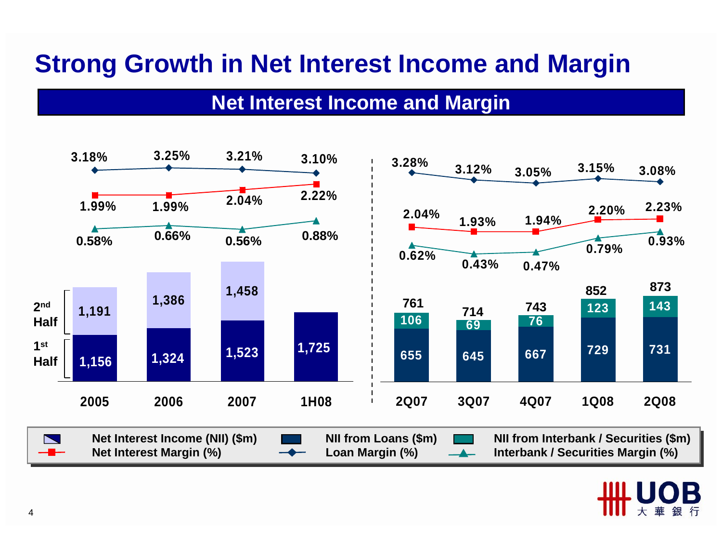### **Strong Growth in Net Interest Income and Margin**

#### **Net Interest Income and Margin**



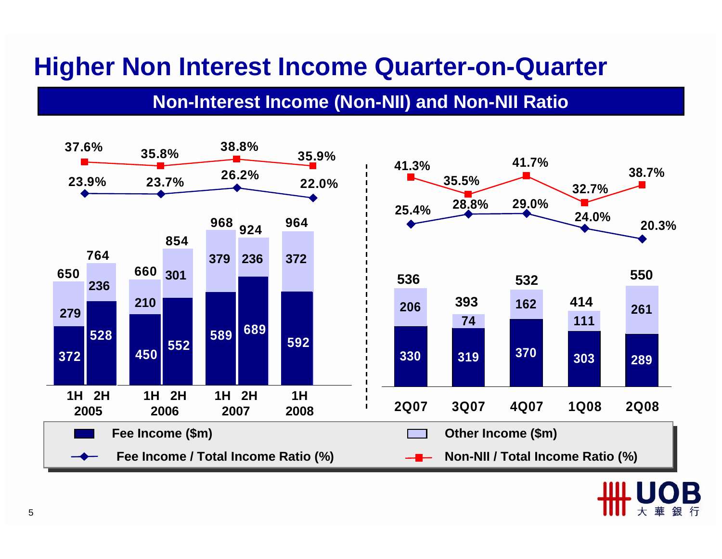#### **Higher Non Interest Income Quarter-on-Quarter**

#### **Non-Interest Income (Non-NII) and Non-NII Ratio**

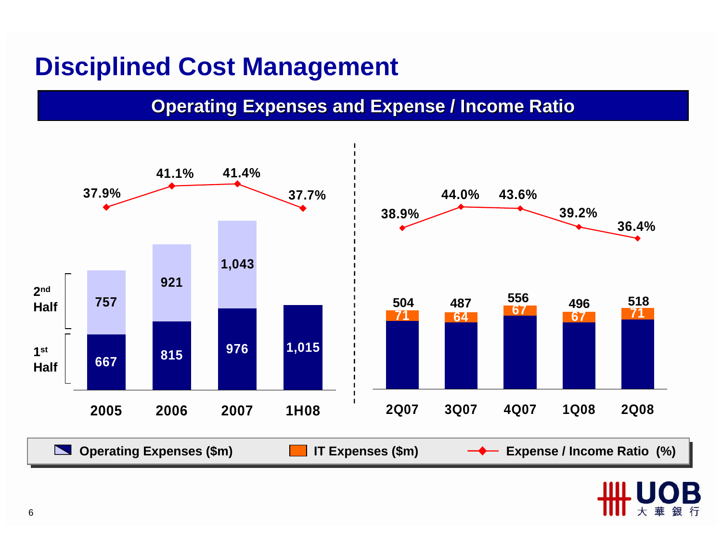#### **Disciplined Cost Management**

#### **Operating Expenses and Expense / Income Ratio**



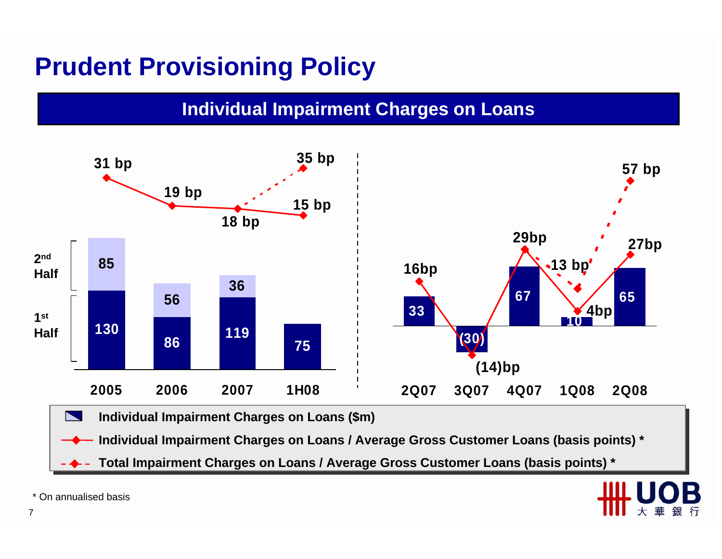### **Prudent Provisioning Policy**

#### **Individual Impairment Charges on Loans**



**Individual Impairment Charges on Loans / Average Gross Customer Loans (basis points) \* Individual Impairment Charges on Loans / Average Gross Customer Loans (basis points) \***

**Total Impairment Charges on Loans / Average Gross Customer Loans (basis points) \* Total Impairment Charges on Loans / Average Gross Customer Loans (basis points) \***



\* On annualised basis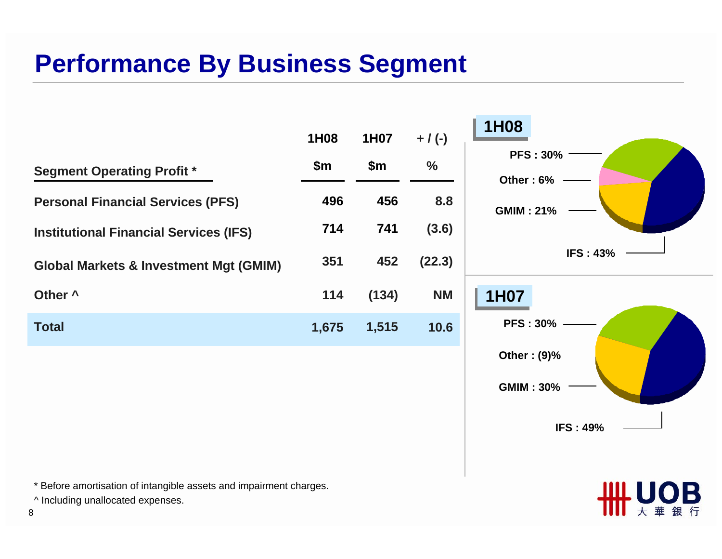### **Performance By Business Segment**



\* Before amortisation of intangible assets and impairment charges.

^ Including unallocated expenses.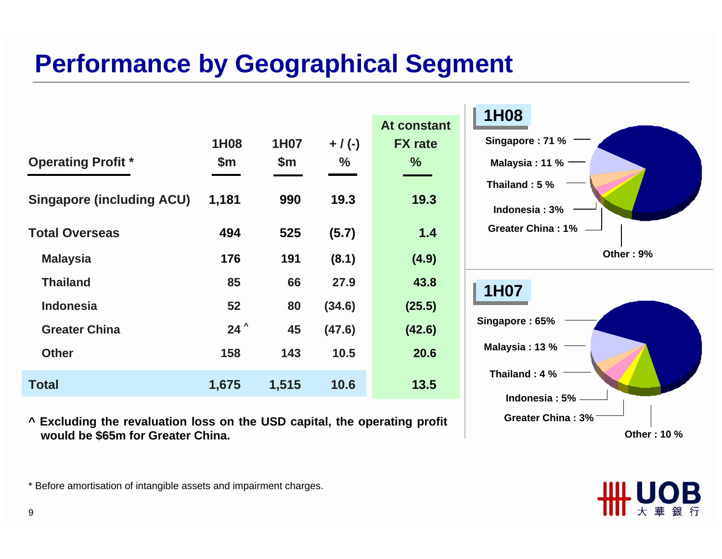# **Performance by Geographical Segment**

|                                  |               |       |           |                | <b>1H08</b>                              |
|----------------------------------|---------------|-------|-----------|----------------|------------------------------------------|
|                                  |               |       |           | At constant    |                                          |
|                                  | 1H08          | 1H07  | $+ / (-)$ | <b>FX</b> rate | Singapore: 71 % $\qquad$                 |
| <b>Operating Profit *</b>        | \$m\$         | \$m   | %         | %              | Malaysia : 11 % $\overline{\phantom{a}}$ |
|                                  |               |       |           |                | Thailand: 5 %                            |
| <b>Singapore (including ACU)</b> | 1,181         | 990   | 19.3      | 19.3           | Indonesia: 3%                            |
| <b>Total Overseas</b>            | 494           | 525   | (5.7)     | $1.4$          | Greater China: 1%                        |
| <b>Malaysia</b>                  | 176           | 191   | (8.1)     | (4.9)          | Other: 9%                                |
| <b>Thailand</b>                  | 85            | 66    | 27.9      | 43.8           | 1H07                                     |
| <b>Indonesia</b>                 | 52            | 80    | (34.6)    | (25.5)         |                                          |
| <b>Greater China</b>             | $24^{\prime}$ | 45    | (47.6)    | (42.6)         | Singapore: 65%                           |
| <b>Other</b>                     | 158           | 143   | 10.5      | 20.6           | Malaysia: 13 % $-$                       |
| <b>Total</b>                     | 1,675         | 1,515 | 10.6      | 13.5           | Thailand: 4 %                            |
|                                  |               |       |           |                | Indonesia: 5% -                          |

**^ Excluding the revaluation loss on the USD capital, the operating profit would be \$65m for Greater China.** 

**Other : 10 %**

**Greater China : 3%**

\* Before amortisation of intangible assets and impairment charges.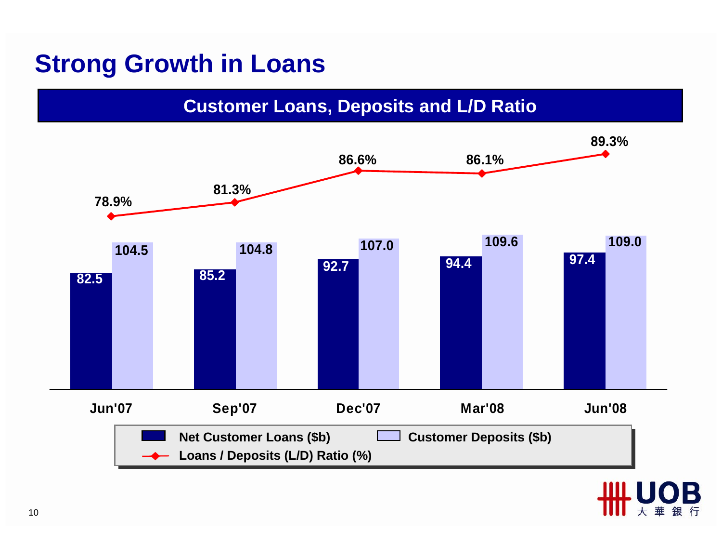### **Strong Growth in Loans**

#### **Customer Loans, Deposits and L/D Ratio**



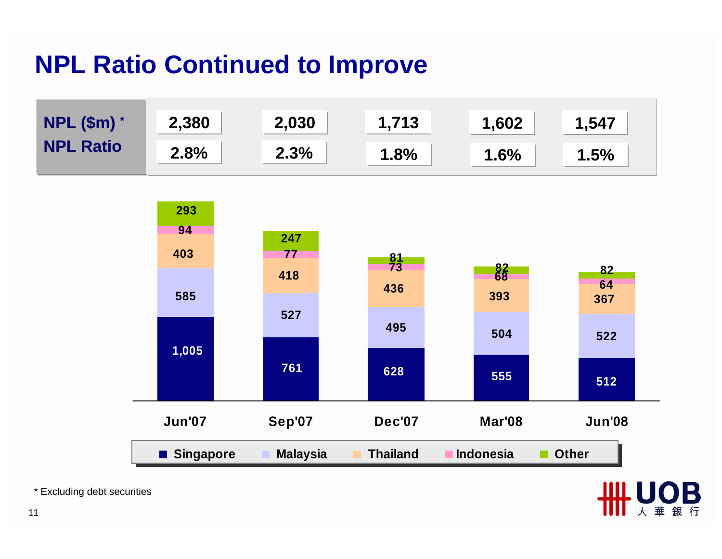# **NPL Ratio Continued to Improve**



大

\* Excluding debt securities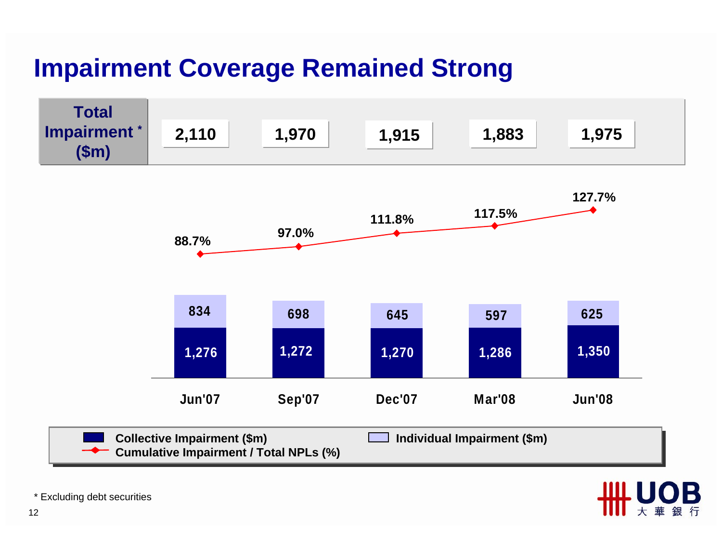# **Impairment Coverage Remained Strong**





\* Excluding debt securities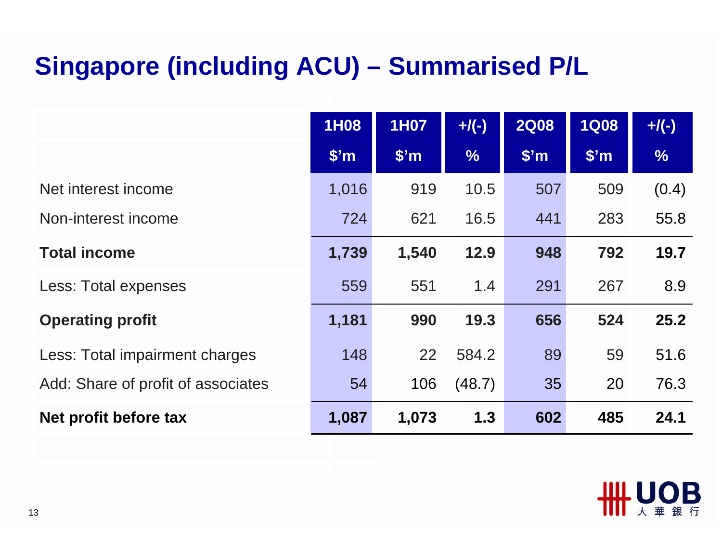# **Singapore (including ACU) – Summarised P/L**

|                                    | 1H08              | 1H07              | $+$ /(-)      | <b>2Q08</b>       | <b>1Q08</b>       | $+$ /(-)      |
|------------------------------------|-------------------|-------------------|---------------|-------------------|-------------------|---------------|
|                                    | \$ <sup>'</sup> m | \$ <sup>'</sup> m | $\frac{0}{6}$ | \$ <sup>'</sup> m | \$ <sup>'</sup> m | $\frac{1}{2}$ |
| Net interest income                | 1,016             | 919               | 10.5          | 507               | 509               | (0.4)         |
| Non-interest income                | 724               | 621               | 16.5          | 441               | 283               | 55.8          |
| <b>Total income</b>                | 1,739             | 1,540             | 12.9          | 948               | 792               | 19.7          |
| Less: Total expenses               | 559               | 551               | 1.4           | 291               | 267               | 8.9           |
| <b>Operating profit</b>            | 1,181             | 990               | 19.3          | 656               | 524               | 25.2          |
| Less: Total impairment charges     | 148               | 22                | 584.2         | 89                | 59                | 51.6          |
| Add: Share of profit of associates | 54                | 106               | (48.7)        | 35                | 20                | 76.3          |
| Net profit before tax              | 1,087             | 1,073             | 1.3           | 602               | 485               | 24.1          |

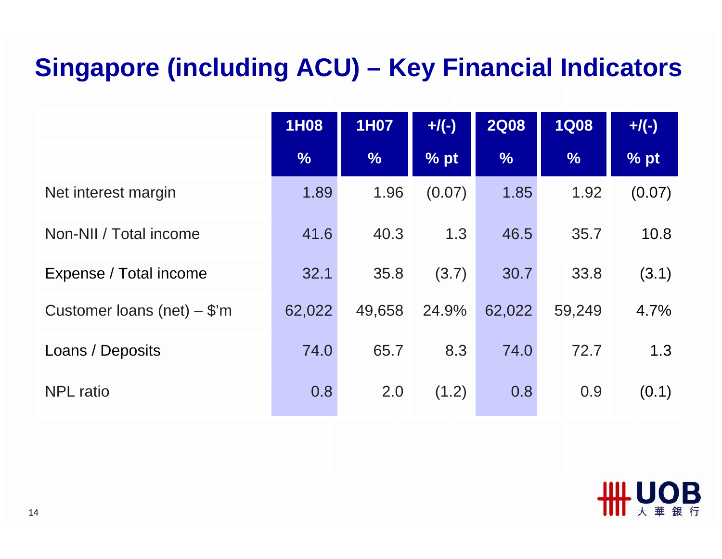# **Singapore (including ACU) – Key Financial Indicators**

|                               | 1H08          | 1H07          | $+$ /(-) | <b>2Q08</b>   | <b>1Q08</b>   | $+$ /(-) |
|-------------------------------|---------------|---------------|----------|---------------|---------------|----------|
|                               | $\frac{0}{6}$ | $\frac{1}{2}$ | % pt     | $\frac{1}{2}$ | $\frac{1}{2}$ | % pt     |
| Net interest margin           | 1.89          | 1.96          | (0.07)   | 1.85          | 1.92          | (0.07)   |
| Non-NII / Total income        | 41.6          | 40.3          | 1.3      | 46.5          | 35.7          | 10.8     |
| Expense / Total income        | 32.1          | 35.8          | (3.7)    | 30.7          | 33.8          | (3.1)    |
| Customer loans (net) $-$ \$'m | 62,022        | 49,658        | 24.9%    | 62,022        | 59,249        | 4.7%     |
| Loans / Deposits              | 74.0          | 65.7          | 8.3      | 74.0          | 72.7          | 1.3      |
| <b>NPL</b> ratio              | 0.8           | 2.0           | (1.2)    | 0.8           | 0.9           | (0.1)    |

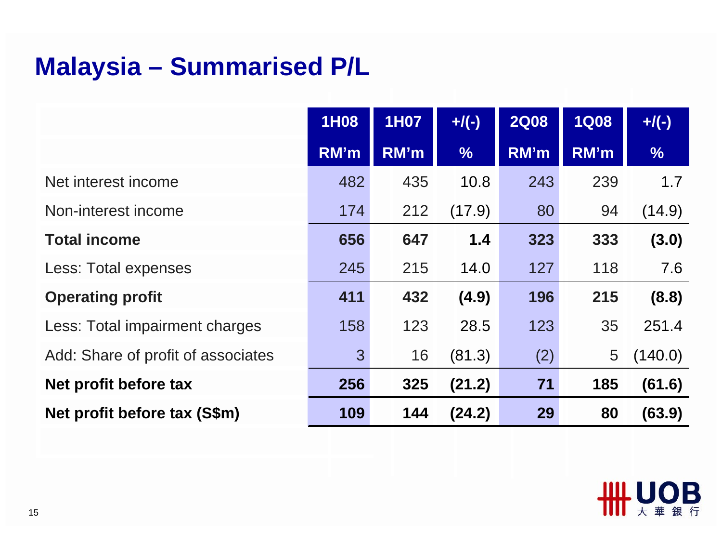# **Malaysia – Summarised P/L**

|                                    | 1H08 | <b>1H07</b> | $+$ /(-)      | <b>2Q08</b> | <b>1Q08</b> | $+$ /(-)      |
|------------------------------------|------|-------------|---------------|-------------|-------------|---------------|
|                                    | RM'm | RM'm        | $\frac{1}{2}$ | RM'm        | RM'm        | $\frac{9}{6}$ |
| Net interest income                | 482  | 435         | 10.8          | 243         | 239         | 1.7           |
| Non-interest income                | 174  | 212         | (17.9)        | 80          | 94          | (14.9)        |
| <b>Total income</b>                | 656  | 647         | 1.4           | 323         | 333         | (3.0)         |
| Less: Total expenses               | 245  | 215         | 14.0          | 127         | 118         | 7.6           |
| <b>Operating profit</b>            | 411  | 432         | (4.9)         | 196         | 215         | (8.8)         |
| Less: Total impairment charges     | 158  | 123         | 28.5          | 123         | 35          | 251.4         |
| Add: Share of profit of associates | 3    | 16          | (81.3)        | (2)         | 5           | (140.0)       |
| Net profit before tax              | 256  | 325         | (21.2)        | 71          | 185         | (61.6)        |
| Net profit before tax (S\$m)       | 109  | 144         | (24.2)        | 29          | 80          | (63.9)        |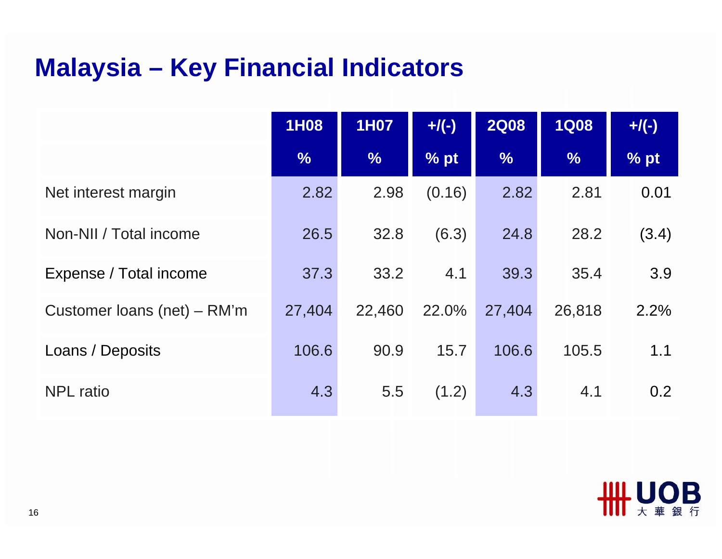# **Malaysia – Key Financial Indicators**

|                             | 1H08          | <b>1H07</b>   | $+$ /(-) | <b>2Q08</b>   | <b>1Q08</b>   | $+$ /(-)         |
|-----------------------------|---------------|---------------|----------|---------------|---------------|------------------|
|                             | $\frac{9}{6}$ | $\frac{0}{6}$ | % pt     | $\frac{9}{6}$ | $\frac{9}{6}$ | % pt             |
| Net interest margin         | 2.82          | 2.98          | (0.16)   | 2.82          | 2.81          | 0.01             |
| Non-NII / Total income      | 26.5          | 32.8          | (6.3)    | 24.8          | 28.2          | (3.4)            |
| Expense / Total income      | 37.3          | 33.2          | 4.1      | 39.3          | 35.4          | 3.9              |
| Customer loans (net) – RM'm | 27,404        | 22,460        | 22.0%    | 27,404        | 26,818        | 2.2%             |
| Loans / Deposits            | 106.6         | 90.9          | 15.7     | 106.6         | 105.5         | 1.1              |
| <b>NPL</b> ratio            | 4.3           | 5.5           | (1.2)    | 4.3           | 4.1           | 0.2 <sub>0</sub> |

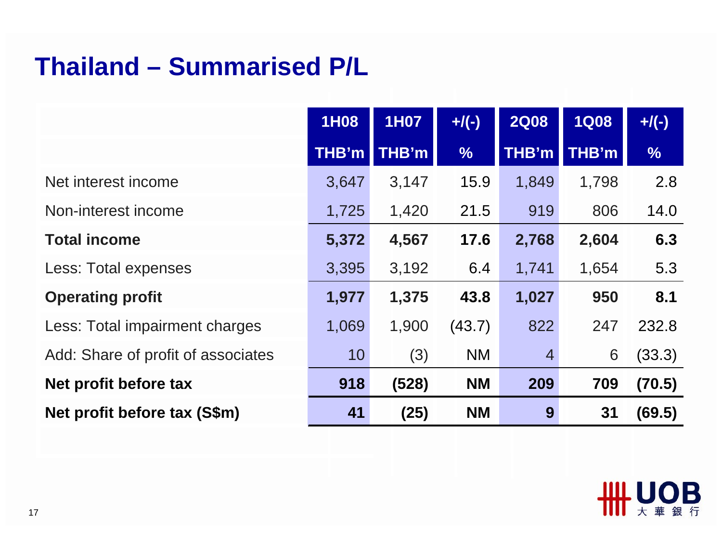#### **Thailand – Summarised P/L**

|                                    | <b>1H08</b>  | <b>1H07</b> | $+$ /(-)      | <b>2Q08</b>    | <b>1Q08</b> | $+$ /(-)      |
|------------------------------------|--------------|-------------|---------------|----------------|-------------|---------------|
|                                    | <b>THB'm</b> | THB'm       | $\frac{1}{2}$ | THB'm          | THB'm       | $\frac{0}{6}$ |
| Net interest income                | 3,647        | 3,147       | 15.9          | 1,849          | 1,798       | 2.8           |
| Non-interest income                | 1,725        | 1,420       | 21.5          | 919            | 806         | 14.0          |
| <b>Total income</b>                | 5,372        | 4,567       | 17.6          | 2,768          | 2,604       | 6.3           |
| Less: Total expenses               | 3,395        | 3,192       | 6.4           | 1,741          | 1,654       | 5.3           |
| <b>Operating profit</b>            | 1,977        | 1,375       | 43.8          | 1,027          | 950         | 8.1           |
| Less: Total impairment charges     | 1,069        | 1,900       | (43.7)        | 822            | 247         | 232.8         |
| Add: Share of profit of associates | 10           | (3)         | <b>NM</b>     | $\overline{4}$ | 6           | (33.3)        |
| Net profit before tax              | 918          | (528)       | <b>NM</b>     | 209            | 709         | (70.5)        |
| Net profit before tax (S\$m)       | 41           | (25)        | <b>NM</b>     | 9              | 31          | (69.5)        |

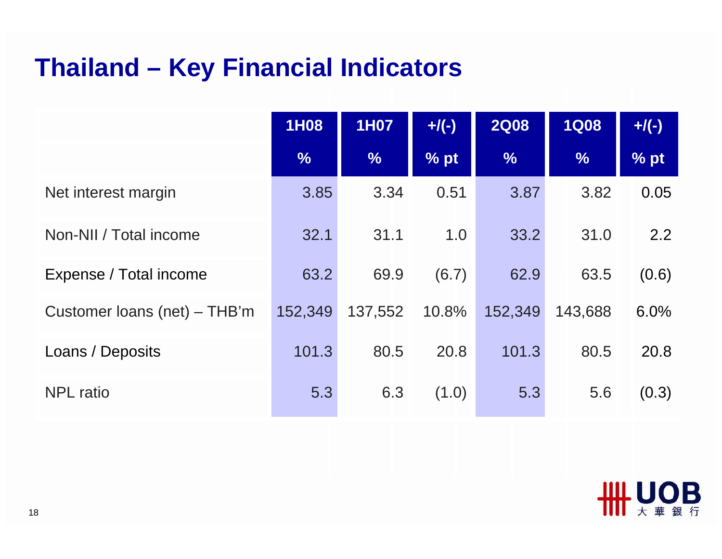# **Thailand – Key Financial Indicators**

|                              | 1H08          | <b>1H07</b>   | $+$ /(-) | <b>2Q08</b>   | <b>1Q08</b>   | $+$ /(-) |
|------------------------------|---------------|---------------|----------|---------------|---------------|----------|
|                              | $\frac{9}{6}$ | $\frac{9}{6}$ | % pt     | $\frac{9}{6}$ | $\frac{0}{6}$ | % pt     |
| Net interest margin          | 3.85          | 3.34          | 0.51     | 3.87          | 3.82          | 0.05     |
| Non-NII / Total income       | 32.1          | 31.1          | 1.0      | 33.2          | 31.0          | 2.2      |
| Expense / Total income       | 63.2          | 69.9          | (6.7)    | 62.9          | 63.5          | (0.6)    |
| Customer loans (net) – THB'm | 152,349       | 137,552       | 10.8%    | 152,349       | 143,688       | 6.0%     |
| Loans / Deposits             | 101.3         | 80.5          | 20.8     | 101.3         | 80.5          | 20.8     |
| <b>NPL</b> ratio             | 5.3           | 6.3           | (1.0)    | 5.3           | 5.6           | (0.3)    |

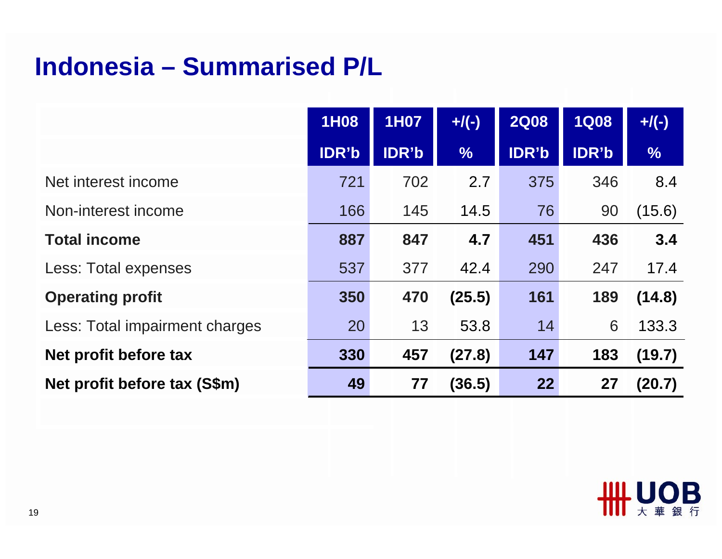#### **Indonesia – Summarised P/L**

|                                | <b>1H08</b>  | <b>1H07</b>  | $+$ /(-)      | <b>2Q08</b>  | <b>1Q08</b>  | $+$ /(-)      |
|--------------------------------|--------------|--------------|---------------|--------------|--------------|---------------|
|                                | <b>IDR'b</b> | <b>IDR'b</b> | $\frac{0}{6}$ | <b>IDR'b</b> | <b>IDR'b</b> | $\frac{9}{6}$ |
| Net interest income            | 721          | 702          | 2.7           | 375          | 346          | 8.4           |
| Non-interest income            | 166          | 145          | 14.5          | 76           | 90           | (15.6)        |
| <b>Total income</b>            | 887          | 847          | 4.7           | 451          | 436          | 3.4           |
| Less: Total expenses           | 537          | 377          | 42.4          | 290          | 247          | 17.4          |
| <b>Operating profit</b>        | 350          | 470          | (25.5)        | 161          | 189          | (14.8)        |
| Less: Total impairment charges | 20           | 13           | 53.8          | 14           | 6            | 133.3         |
| Net profit before tax          | 330          | 457          | (27.8)        | 147          | 183          | (19.7)        |
| Net profit before tax (S\$m)   | 49           | 77           | (36.5)        | 22           | 27           | (20.7)        |

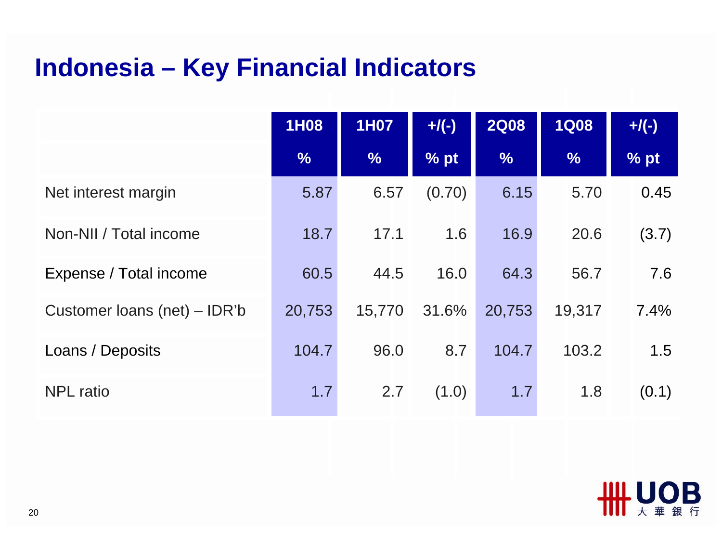# **Indonesia – Key Financial Indicators**

|                              | 1H08          | <b>1H07</b>   | $+$ /(-) | <b>2Q08</b>   | <b>1Q08</b>   | $+$ /(-) |
|------------------------------|---------------|---------------|----------|---------------|---------------|----------|
|                              | $\frac{0}{6}$ | $\frac{9}{6}$ | % pt     | $\frac{1}{2}$ | $\frac{9}{6}$ | % pt     |
| Net interest margin          | 5.87          | 6.57          | (0.70)   | 6.15          | 5.70          | 0.45     |
| Non-NII / Total income       | 18.7          | 17.1          | 1.6      | 16.9          | 20.6          | (3.7)    |
| Expense / Total income       | 60.5          | 44.5          | 16.0     | 64.3          | 56.7          | 7.6      |
| Customer loans (net) – IDR'b | 20,753        | 15,770        | 31.6%    | 20,753        | 19,317        | 7.4%     |
| Loans / Deposits             | 104.7         | 96.0          | 8.7      | 104.7         | 103.2         | 1.5      |
| <b>NPL</b> ratio             | 1.7           | 2.7           | (1.0)    | 1.7           | 1.8           | (0.1)    |

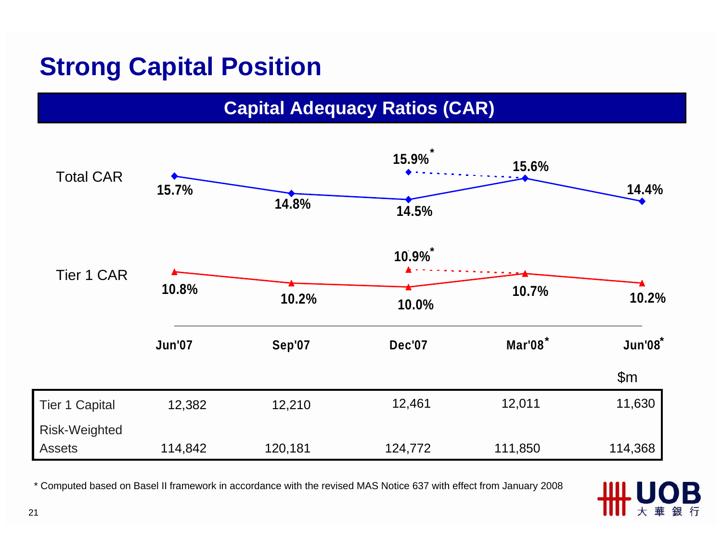## **Strong Capital Position**

#### **Capital Adequacy Ratios (CAR)**



\* Computed based on Basel II framework in accordance with the revised MAS Notice 637 with effect from January 2008

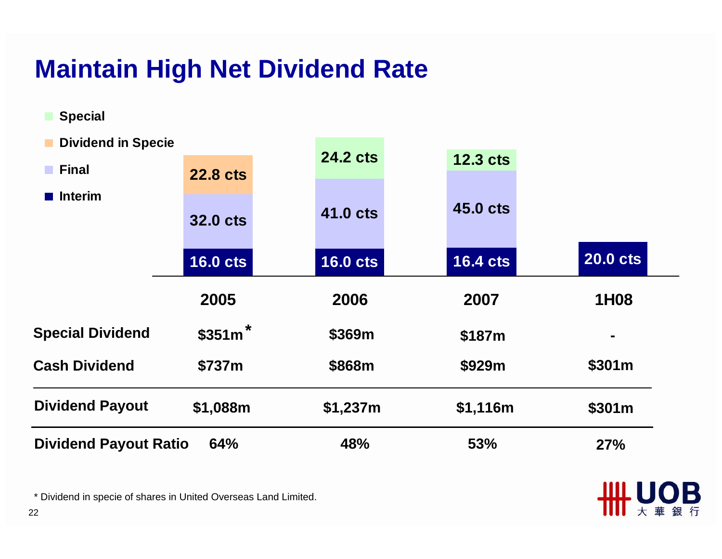# **Maintain High Net Dividend Rate**

| <b>Cash Dividend</b>      | \$737m          | \$868m          | \$929m          | \$301m          |
|---------------------------|-----------------|-----------------|-----------------|-----------------|
| <b>Special Dividend</b>   | $$351m$ *       | \$369m          | \$187m          |                 |
|                           | 2005            | 2006            | 2007            | 1H08            |
|                           |                 |                 |                 |                 |
|                           | <b>16.0 cts</b> | <b>16.0 cts</b> | <b>16.4 cts</b> | <b>20.0 cts</b> |
|                           | <b>32.0 cts</b> | <b>41.0 cts</b> | <b>45.0 cts</b> |                 |
| <b>Interim</b>            |                 |                 |                 |                 |
| <b>Final</b>              | <b>22.8 cts</b> | <b>24.2 cts</b> | <b>12.3 cts</b> |                 |
| <b>Dividend in Specie</b> |                 |                 |                 |                 |
|                           |                 |                 |                 |                 |

**THE UOB** 

\* Dividend in specie of shares in United Overseas Land Limited.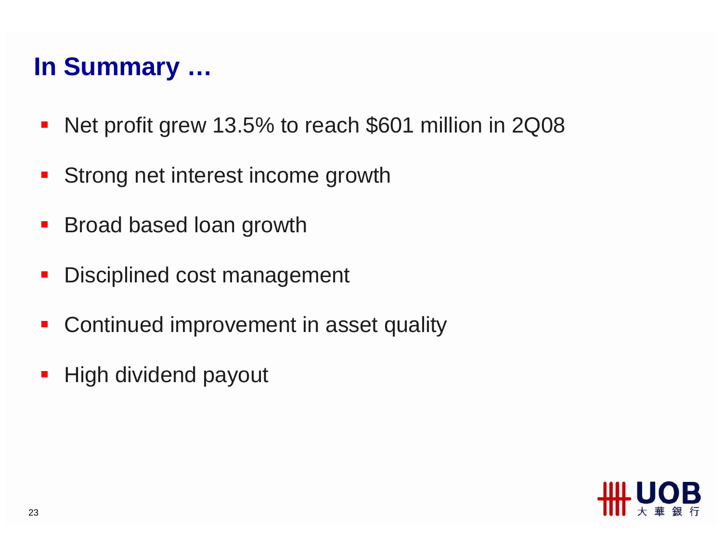## **In Summary …**

- $\overline{\phantom{a}}$ Net profit grew 13.5% to reach \$601 million in 2Q08
- Strong net interest income growth
- $\blacksquare$ Broad based loan growth
- Disciplined cost management
- $\blacksquare$ Continued improvement in asset quality
- High dividend payout